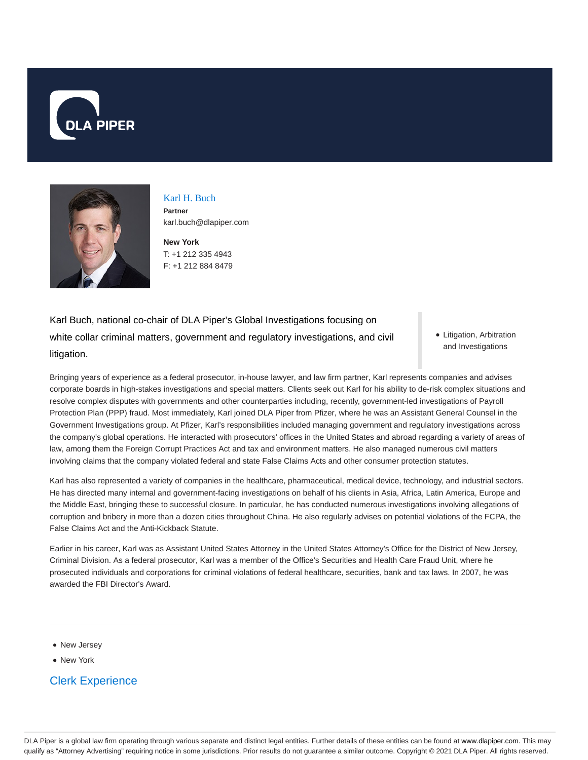



Karl H. Buch **Partner** karl.buch@dlapiper.com

**New York** T: +1 212 335 4943 F: +1 212 884 8479

Karl Buch, national co-chair of DLA Piper's Global Investigations focusing on white collar criminal matters, government and regulatory investigations, and civil litigation.

• Litigation, Arbitration and Investigations

Bringing years of experience as a federal prosecutor, in-house lawyer, and law firm partner, Karl represents companies and advises corporate boards in high-stakes investigations and special matters. Clients seek out Karl for his ability to de-risk complex situations and resolve complex disputes with governments and other counterparties including, recently, government-led investigations of Payroll Protection Plan (PPP) fraud. Most immediately, Karl joined DLA Piper from Pfizer, where he was an Assistant General Counsel in the Government Investigations group. At Pfizer, Karl's responsibilities included managing government and regulatory investigations across the company's global operations. He interacted with prosecutors' offices in the United States and abroad regarding a variety of areas of law, among them the Foreign Corrupt Practices Act and tax and environment matters. He also managed numerous civil matters involving claims that the company violated federal and state False Claims Acts and other consumer protection statutes.

Karl has also represented a variety of companies in the healthcare, pharmaceutical, medical device, technology, and industrial sectors. He has directed many internal and government-facing investigations on behalf of his clients in Asia, Africa, Latin America, Europe and the Middle East, bringing these to successful closure. In particular, he has conducted numerous investigations involving allegations of corruption and bribery in more than a dozen cities throughout China. He also regularly advises on potential violations of the FCPA, the False Claims Act and the Anti-Kickback Statute.

Earlier in his career, Karl was as Assistant United States Attorney in the United States Attorney's Office for the District of New Jersey, Criminal Division. As a federal prosecutor, Karl was a member of the Office's Securities and Health Care Fraud Unit, where he prosecuted individuals and corporations for criminal violations of federal healthcare, securities, bank and tax laws. In 2007, he was awarded the FBI Director's Award.

- New Jersey
- New York

Clerk Experience

DLA Piper is a global law firm operating through various separate and distinct legal entities. Further details of these entities can be found at www.dlapiper.com. This may qualify as "Attorney Advertising" requiring notice in some jurisdictions. Prior results do not guarantee a similar outcome. Copyright @ 2021 DLA Piper. All rights reserved.